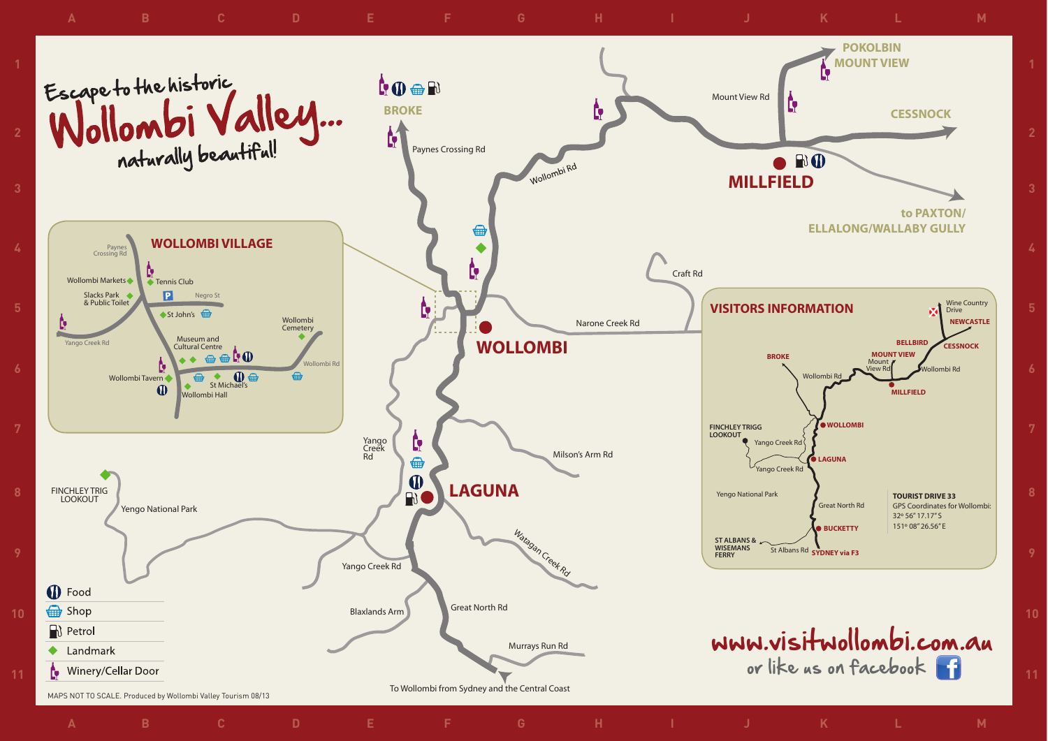

**10**